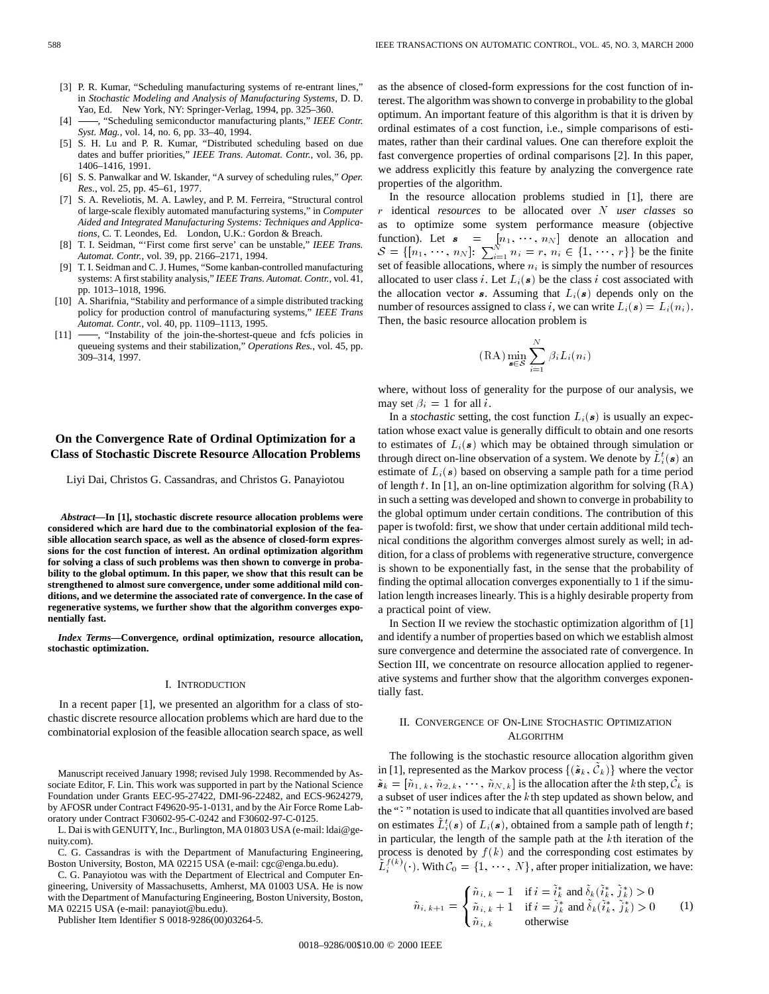- [3] P. R. Kumar, "Scheduling manufacturing systems of re-entrant lines," in *Stochastic Modeling and Analysis of Manufacturing Systems*, D. D. Yao, Ed. New York, NY: Springer-Verlag, 1994, pp. 325–360.
- [4] -, "Scheduling semiconductor manufacturing plants," *IEEE Contr. Syst. Mag.*, vol. 14, no. 6, pp. 33–40, 1994.
- [5] S. H. Lu and P. R. Kumar, "Distributed scheduling based on due dates and buffer priorities," *IEEE Trans. Automat. Contr.*, vol. 36, pp. 1406–1416, 1991.
- [6] S. S. Panwalkar and W. Iskander, "A survey of scheduling rules," *Oper. Res.*, vol. 25, pp. 45–61, 1977.
- [7] S. A. Reveliotis, M. A. Lawley, and P. M. Ferreira, "Structural control of large-scale flexibly automated manufacturing systems," in *Computer Aided and Integrated Manufacturing Systems: Techniques and Applications*, C. T. Leondes, Ed. London, U.K.: Gordon & Breach.
- [8] T. I. Seidman, "'First come first serve' can be unstable," *IEEE Trans. Automat. Contr.*, vol. 39, pp. 2166–2171, 1994.
- [9] T. I. Seidman and C. J. Humes, "Some kanban-controlled manufacturing systems: A first stability analysis," *IEEE Trans. Automat. Contr.*, vol. 41, pp. 1013–1018, 1996.
- [10] A. Sharifnia, "Stability and performance of a simple distributed tracking policy for production control of manufacturing systems," *IEEE Trans Automat. Contr.*, vol. 40, pp. 1109–1113, 1995.
- $[11]$   $\longrightarrow$ , "Instability of the join-the-shortest-queue and fcfs policies in queueing systems and their stabilization," *Operations Res.*, vol. 45, pp. 309–314, 1997.

# **On the Convergence Rate of Ordinal Optimization for a Class of Stochastic Discrete Resource Allocation Problems**

Liyi Dai, Christos G. Cassandras, and Christos G. Panayiotou

*Abstract—***In [1], stochastic discrete resource allocation problems were considered which are hard due to the combinatorial explosion of the feasible allocation search space, as well as the absence of closed-form expressions for the cost function of interest. An ordinal optimization algorithm for solving a class of such problems was then shown to converge in probability to the global optimum. In this paper, we show that this result can be strengthened to almost sure convergence, under some additional mild conditions, and we determine the associated rate of convergence. In the case of regenerative systems, we further show that the algorithm converges exponentially fast.**

*Index Terms—***Convergence, ordinal optimization, resource allocation, stochastic optimization.**

#### I. INTRODUCTION

In a recent paper [1], we presented an algorithm for a class of stochastic discrete resource allocation problems which are hard due to the combinatorial explosion of the feasible allocation search space, as well

Manuscript received January 1998; revised July 1998. Recommended by Associate Editor, F. Lin. This work was supported in part by the National Science Foundation under Grants EEC-95-27422, DMI-96-22482, and ECS-9624279, by AFOSR under Contract F49620-95-1-0131, and by the Air Force Rome Laboratory under Contract F30602-95-C-0242 and F30602-97-C-0125.

L. Dai is with GENUITY, Inc., Burlington, MA 01803 USA (e-mail: ldai@genuity.com).

C. G. Cassandras is with the Department of Manufacturing Engineering, Boston University, Boston, MA 02215 USA (e-mail: cgc@enga.bu.edu).

C. G. Panayiotou was with the Department of Electrical and Computer Engineering, University of Massachusetts, Amherst, MA 01003 USA. He is now with the Department of Manufacturing Engineering, Boston University, Boston, MA 02215 USA (e-mail: panayiot@bu.edu).

Publisher Item Identifier S 0018-9286(00)03264-5.

as the absence of closed-form expressions for the cost function of interest. The algorithm was shown to converge in probability to the global optimum. An important feature of this algorithm is that it is driven by ordinal estimates of a cost function, i.e., simple comparisons of estimates, rather than their cardinal values. One can therefore exploit the fast convergence properties of ordinal comparisons [2]. In this paper, we address explicitly this feature by analyzing the convergence rate properties of the algorithm.

In the resource allocation problems studied in [1], there are r identical *resources* to be allocated over N *user classes* so as to optimize some system performance measure (objective function). Let  $s = [n_1, \dots, n_N]$  denote an allocation and  $S = \{ [n_1, \dots, n_N] \colon \sum_{i=1}^N n_i = r, n_i \in \{1, \dots, r\} \}$  be the finite set of feasible allocations, where  $n_i$  is simply the number of resources allocated to user class i. Let  $L_i(\mathbf{s})$  be the class i cost associated with the allocation vector s. Assuming that  $L_i(s)$  depends only on the number of resources assigned to class i, we can write  $L_i(\mathbf{s}) = L_i(n_i)$ . Then, the basic resource allocation problem is

$$
(\mathrm{RA}) \min_{\mathbf{s} \in \mathcal{S}} \sum_{i=1}^{N} \beta_i L_i(n_i)
$$

where, without loss of generality for the purpose of our analysis, we may set  $\beta_i = 1$  for all *i*.

In a *stochastic* setting, the cost function  $L_i(\mathbf{s})$  is usually an expectation whose exact value is generally difficult to obtain and one resorts to estimates of  $L_i(\mathbf{s})$  which may be obtained through simulation or through direct on-line observation of a system. We denote by  $\tilde{L}_i^t(\bm{s})$  an estimate of  $L_i(\mathbf{s})$  based on observing a sample path for a time period of length t. In [1], an on-line optimization algorithm for solving  $(RA)$ in such a setting was developed and shown to converge in probability to the global optimum under certain conditions. The contribution of this paper is twofold: first, we show that under certain additional mild technical conditions the algorithm converges almost surely as well; in addition, for a class of problems with regenerative structure, convergence is shown to be exponentially fast, in the sense that the probability of finding the optimal allocation converges exponentially to 1 if the simulation length increases linearly. This is a highly desirable property from a practical point of view.

In Section II we review the stochastic optimization algorithm of [1] and identify a number of properties based on which we establish almost sure convergence and determine the associated rate of convergence. In Section III, we concentrate on resource allocation applied to regenerative systems and further show that the algorithm converges exponentially fast.

## II. CONVERGENCE OF ON-LINE STOCHASTIC OPTIMIZATION ALGORITHM

The following is the stochastic resource allocation algorithm given in [1], represented as the Markov process  $\{(\tilde{\boldsymbol{s}}_k, \tilde{\mathcal{C}}_k)\}\$  where the vector  $\tilde{\bm{s}}_k = [\tilde{n}_{1,k}, \tilde{n}_{2,k}, \cdots, \tilde{n}_{N,k}]$  is the allocation after the kth step,  $\tilde{\mathcal{C}}_k$  is a subset of user indices after the kth step updated as shown below, and the "~ " notation is used to indicate that all quantities involved are based on estimates  $\tilde{L}_{i}^{t}(\boldsymbol{s})$  of  $L_{i}(\boldsymbol{s})$ , obtained from a sample path of length t; in particular, the length of the sample path at the  $k$ <sup>th</sup> iteration of the process is denoted by  $f(k)$  and the corresponding cost estimates by  $\tilde{L}_i^{f(k)}(\cdot)$ . With  $\mathcal{C}_0 = \{1, \cdots, N\}$ , after proper initialization, we have:

$$
\tilde{n}_{i,k+1} = \begin{cases}\n\tilde{n}_{i,k} - 1 & \text{if } i = \tilde{i}_k^* \text{ and } \tilde{\delta}_k(\tilde{i}_k^*, \tilde{j}_k^*) > 0 \\
\tilde{n}_{i,k} + 1 & \text{if } i = \tilde{j}_k^* \text{ and } \tilde{\delta}_k(\tilde{i}_k^*, \tilde{j}_k^*) > 0 \\
\tilde{n}_{i,k} & \text{otherwise}\n\end{cases}
$$
\n(1)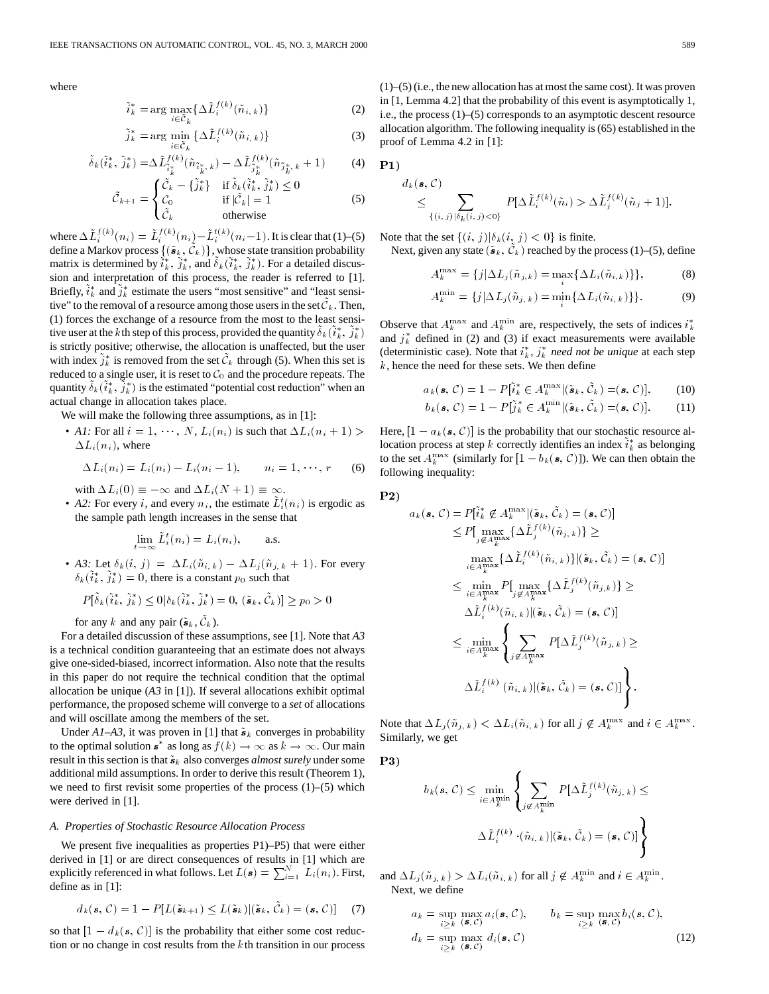where

$$
\tilde{i}_k^* = \arg \max_{i \in \tilde{\mathcal{C}}_k} \{ \Delta \tilde{L}_i^{f(k)}(\tilde{n}_{i,k}) \}
$$
 (2)

$$
\tilde{j}_k^* = \arg\min_{i \in \tilde{\mathcal{C}}_k} \{ \Delta \tilde{L}_i^{f(k)}(\tilde{n}_{i,k}) \}
$$
\n(3)

$$
\tilde{\delta}_k(\tilde{i}_k^*, \tilde{j}_k^*) = \Delta \tilde{L}_{\tilde{i}_k^*}^{f(k)}(\tilde{n}_{\tilde{i}_k^*, k}) - \Delta \tilde{L}_{\tilde{j}_k^*}^{f(k)}(\tilde{n}_{\tilde{j}_k^*, k} + 1)
$$
(4)

$$
\tilde{\mathcal{C}}_{k+1} = \begin{cases}\n\tilde{\mathcal{C}}_k - \{\tilde{j}_k^*\} & \text{if } \tilde{\delta}_k(\tilde{i}_k^*, \tilde{j}_k^*) \le 0 \\
\mathcal{C}_0 & \text{if } |\tilde{\mathcal{C}}_k| = 1 \\
\tilde{\mathcal{C}}_k & \text{otherwise}\n\end{cases}
$$
\n(5)

where  $\Delta L_i^{f(k)}(n_i) = \tilde{L}_i^{f(k)}(n_i) - \tilde{L}_i^{t(k)}(n_i-1)$ . It is clear that (1)–(5) define a Markov process  $\{(\tilde{\bm{s}}_k, \tilde{\mathcal{C}}_k)\}$ , whose state transition probability matrix is determined by  $\tilde{i}_k^*, \tilde{j}_k^*,$  and  $\tilde{\delta}_k(\tilde{i}_k^*, \tilde{j}_k^*)$ . For a detailed discussion and interpretation of this process, the reader is referred to [1]. Briefly,  $\tilde{i}_k^*$  and  $\tilde{j}_k^*$  estimate the users "most sensitive" and "least sensitive" to the removal of a resource among those users in the set  $\tilde{\mathcal{C}}_k$ . Then, (1) forces the exchange of a resource from the most to the least sensitive user at the kth step of this process, provided the quantity  $\tilde{\delta}_k(\tilde{i}_k^*, \tilde{j}_k^*)$ is strictly positive; otherwise, the allocation is unaffected, but the user with index  $\tilde{j}_k^*$  is removed from the set  $\tilde{\mathcal{C}}_k$  through (5). When this set is reduced to a single user, it is reset to  $C_0$  and the procedure repeats. The quantity  $\tilde{\delta}_k(\tilde{i}_k^*, \tilde{j}_k^*)$  is the estimated "potential cost reduction" when an actual change in allocation takes place.

We will make the following three assumptions, as in [1]:

• *A1*: For all  $i = 1, \dots, N$ ,  $L_i(n_i)$  is such that  $\Delta L_i(n_i + 1)$  $\Delta L_i(n_i)$ , where

$$
\Delta L_i(n_i) = L_i(n_i) - L_i(n_i - 1), \qquad n_i = 1, \cdots, r \qquad (6)
$$

with  $\Delta L_i(0) \equiv -\infty$  and  $\Delta L_i(N + 1) \equiv \infty$ .

• *A2*: For every *i*, and every  $n_i$ , the estimate  $\tilde{L}_i^t(n_i)$  is ergodic as the sample path length increases in the sense that

$$
\lim_{t \to \infty} \tilde{L}_i^t(n_i) = L_i(n_i), \quad \text{a.s.}
$$

• *A3:* Let  $\delta_k(i, j) = \Delta L_i(\tilde{n}_{i,k}) - \Delta L_j(\tilde{n}_{j,k} + 1)$ . For every  $\delta_k(\tilde{i}_k^*, \tilde{j}_k^*) = 0$ , there is a constant  $p_0$  such that

$$
P[\tilde{\delta}_k(\tilde{i}_k^*,\tilde{j}_k^*)\leq 0|\delta_k(\tilde{i}_k^*,\tilde{j}_k^*)=0, (\tilde{\boldsymbol{s}}_k,\tilde{\mathcal{C}}_k)|\geq p_0>0
$$

for any k and any pair  $(\tilde{\boldsymbol{s}}_k, \tilde{\mathcal{C}}_k)$ .

For a detailed discussion of these assumptions, see [1]. Note that *A3* is a technical condition guaranteeing that an estimate does not always give one-sided-biased, incorrect information. Also note that the results in this paper do not require the technical condition that the optimal allocation be unique (*A3* in [1]). If several allocations exhibit optimal performance, the proposed scheme will converge to a *set* of allocations and will oscillate among the members of the set.

Under  $A1-A3$ , it was proven in [1] that  $\tilde{\boldsymbol{s}}_k$  converges in probability to the optimal solution  $s^*$  as long as  $f(k) \to \infty$  as  $k \to \infty$ . Our main result in this section is that  $\tilde{\boldsymbol{s}}_k$  also converges *almost surely* under some additional mild assumptions. In order to derive this result (Theorem 1), we need to first revisit some properties of the process  $(1)$ – $(5)$  which were derived in [1].

#### *A. Properties of Stochastic Resource Allocation Process*

We present five inequalities as properties P1)–P5) that were either derived in [1] or are direct consequences of results in [1] which are explicitly referenced in what follows. Let  $L(\mathbf{s}) = \sum_{i=1}^{N} L_i(n_i)$ . First, define as in [1]:

$$
d_k(\mathbf{s}, \mathcal{C}) = 1 - P[L(\tilde{\mathbf{s}}_{k+1}) \le L(\tilde{\mathbf{s}}_k) | (\tilde{\mathbf{s}}_k, \tilde{\mathcal{C}}_k) = (\mathbf{s}, \mathcal{C})] \tag{7}
$$

so that  $[1 - d_k(s, C)]$  is the probability that either some cost reduction or no change in cost results from the  $k$ th transition in our process (1)–(5) (i.e., the new allocation has at most the same cost). It was proven in [1, Lemma 4.2] that the probability of this event is asymptotically 1, i.e., the process (1)–(5) corresponds to an asymptotic descent resource allocation algorithm. The following inequality is (65) established in the proof of Lemma 4.2 in [1]:

$$
\mathbf{P1})\ \ d_k(
$$

$$
d_k(\mathbf{s}, \mathcal{C}) \leq \sum_{\{(i,j)|\delta_k(i,j)|< 0\}} P[\Delta \tilde{L}_i^{f(k)}(\tilde{n}_i) > \Delta \tilde{L}_j^{f(k)}(\tilde{n}_j+1)].
$$

Note that the set  $\{(i, j)|\delta_k(i, j) < 0\}$  is finite. Next, given any state  $({\tilde s}_k, {\tilde {\cal C}}_k)$  reached by the process (1)–(5), define

$$
A_k^{\max} = \{j | \Delta L_j(\tilde{n}_{j,k}) = \max_i \{ \Delta L_i(\tilde{n}_{i,k}) \} \},
$$
 (8)

$$
A_k^{\min} = \{j | \Delta L_j(\tilde{n}_{j,k}) = \min_i \{ \Delta L_i(\tilde{n}_{i,k}) \} \}.
$$
 (9)

Observe that  $A_k^{\max}$  and  $A_k^{\min}$  are, respectively, the sets of indices  $i_k^*$ and  $j_k^*$  defined in (2) and (3) if exact measurements were available (deterministic case). Note that  $i_k^*$ ,  $j_k^*$  *need not be unique* at each step  $k$ , hence the need for these sets. We then define

$$
a_k(\mathbf{s}, \mathcal{C}) = 1 - P[\tilde{i}_k^* \in A_k^{\max} | (\tilde{\mathbf{s}}_k, \tilde{\mathcal{C}}_k) = (\mathbf{s}, \mathcal{C})], \qquad (10)
$$

$$
b_k(\mathbf{s}, \mathcal{C}) = 1 - P[\tilde{j}_k^* \in A_k^{\min} | (\tilde{\mathbf{s}}_k, \tilde{\mathcal{C}}_k) = (\mathbf{s}, \mathcal{C})]. \tag{11}
$$

Here,  $[1 - a_k(\mathbf{s}, \mathcal{C})]$  is the probability that our stochastic resource allocation process at step k correctly identifies an index  $\tilde{i}_k^*$  as belonging to the set  $A_k^{\max}$  (similarly for  $[1 - b_k(\mathbf{s}, \mathcal{C})]$ ). We can then obtain the following inequality:

$$
\mathbf{P2})
$$

$$
a_k(\mathbf{s}, C) = P[i_k^* \notin A_k^{\max} | (\tilde{\mathbf{s}}_k, \tilde{C}_k) = (\mathbf{s}, C)]
$$
  
\n
$$
\leq P[\max_{j \notin A_k^{\max}} \{\Delta \tilde{L}_j^{f(k)}(\tilde{n}_{j,k})\} \geq
$$
  
\n
$$
\max_{i \in A_k^{\max}} \{\Delta \tilde{L}_i^{f(k)}(\tilde{n}_{i,k})\} | (\tilde{\mathbf{s}}_k, \tilde{C}_k) = (\mathbf{s}, C)]
$$
  
\n
$$
\leq \min_{i \in A_k^{\max}} P[\max_{j \notin A_k^{\max}} \{\Delta \tilde{L}_j^{f(k)}(\tilde{n}_{j,k})\} \geq
$$
  
\n
$$
\Delta \tilde{L}_i^{f(k)}(\tilde{n}_{i,k}) | (\tilde{\mathbf{s}}_k, \tilde{C}_k) = (\mathbf{s}, C)]
$$
  
\n
$$
\leq \min_{i \in A_k^{\max}} \left\{ \sum_{j \notin A_k^{\max}} P[\Delta \tilde{L}_j^{f(k)}(\tilde{n}_{j,k}) \geq
$$
  
\n
$$
\Delta \tilde{L}_i^{f(k)}(\tilde{n}_{i,k}) | (\tilde{\mathbf{s}}_k, \tilde{C}_k) = (\mathbf{s}, C)] \right\}.
$$

Note that  $\Delta L_j(\tilde{n}_{j,k}) < \Delta L_i(\tilde{n}_{i,k})$  for all  $j \notin A_k^{\max}$  and  $i \in A_k^{\max}$ . Similarly, we get

P3)

$$
b_k(\mathbf{s}, \mathcal{C}) \le \min_{i \in A_k^{\min}} \left\{ \sum_{j \notin A_k^{\min}} P[\Delta \tilde{L}_j^{f(k)}(\tilde{n}_{j,k}) \le
$$

$$
\Delta \tilde{L}_i^{f(k)} \cdot (\tilde{n}_{i,k}) | (\tilde{\mathbf{s}}_k, \tilde{\mathcal{C}}_k) = (\mathbf{s}, \mathcal{C})] \right\}
$$

and  $\Delta L_j(\tilde{n}_{j,k}) > \Delta L_i(\tilde{n}_{i,k})$  for all  $j \notin A_k^{\min}$  and  $i \in A_k^{\min}$ . Next, we define

$$
a_k = \sup_{i \geq k} \max_{(\mathbf{s}, \mathcal{C})} a_i(\mathbf{s}, \mathcal{C}), \qquad b_k = \sup_{i \geq k} \max_{(\mathbf{s}, \mathcal{C})} b_i(\mathbf{s}, \mathcal{C}),
$$
  
\n
$$
d_k = \sup_{i \geq k} \max_{(\mathbf{s}, \mathcal{C})} d_i(\mathbf{s}, \mathcal{C})
$$
\n(12)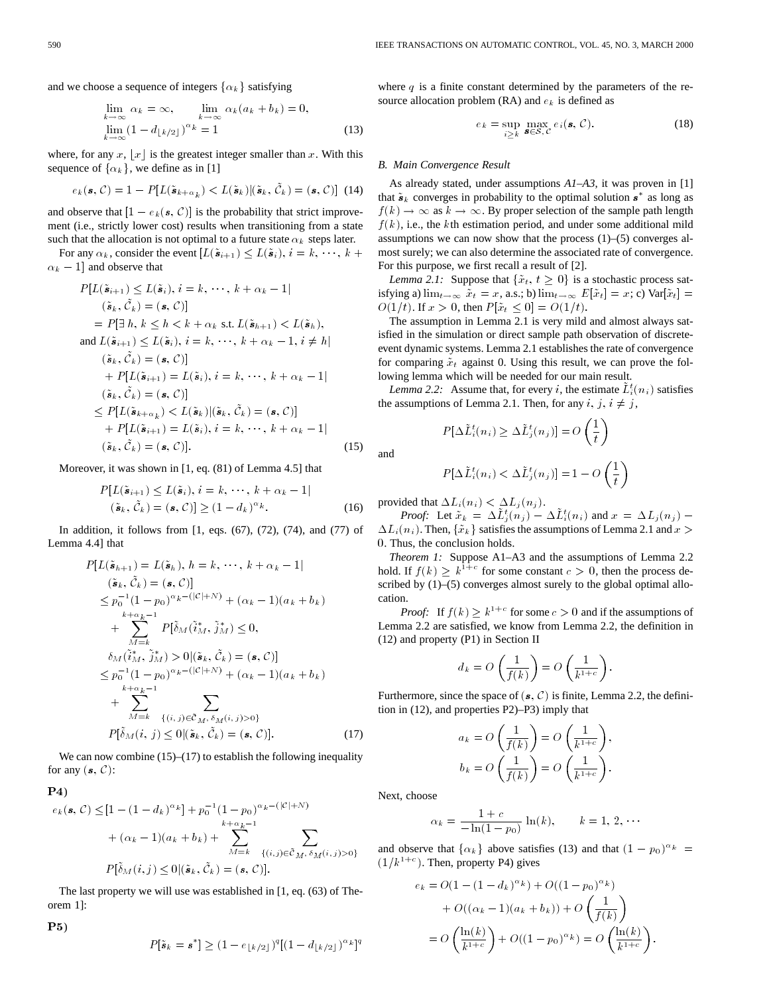and we choose a sequence of integers  $\{\alpha_k\}$  satisfying

$$
\lim_{\substack{k \to \infty \\ \text{lim}}} \alpha_k = \infty, \qquad \lim_{\substack{k \to \infty \\ \text{lim}}} \alpha_k (a_k + b_k) = 0,
$$
\n
$$
\lim_{\substack{k \to \infty \\ \text{lim}}} (1 - d_{\lfloor k/2 \rfloor})^{\alpha_k} = 1
$$
\n(13)

where, for any x, |x| is the greatest integer smaller than x. With this sequence of  $\{\alpha_k\}$ , we define as in [1]

$$
e_k(\mathbf{s}, \mathcal{C}) = 1 - P[L(\tilde{\mathbf{s}}_{k+\alpha_k}) < L(\tilde{\mathbf{s}}_k)|(\tilde{\mathbf{s}}_k, \tilde{\mathcal{C}}_k) = (\mathbf{s}, \mathcal{C})] \tag{14}
$$

and observe that  $[1 - e_k(s, C)]$  is the probability that strict improvement (i.e., strictly lower cost) results when transitioning from a state such that the allocation is not optimal to a future state  $\alpha_k$  steps later.

For any  $\alpha_k$ , consider the event  $[L(\tilde{\bm{s}}_{i+1}) \leq L(\tilde{\bm{s}}_i), i = k, \dots, k + \epsilon]$  $\alpha_k - 1$  and observe that

$$
P[L(\tilde{\mathbf{s}}_{i+1}) \leq L(\tilde{\mathbf{s}}_i), i = k, \dots, k + \alpha_k - 1]
$$
\n
$$
(\tilde{\mathbf{s}}_k, \tilde{C}_k) = (\mathbf{s}, C)
$$
\n
$$
= P[\exists h, k \leq h < k + \alpha_k \text{ s.t. } L(\tilde{\mathbf{s}}_{h+1}) < L(\tilde{\mathbf{s}}_h),
$$
\nand  $L(\tilde{\mathbf{s}}_{i+1}) \leq L(\tilde{\mathbf{s}}_i), i = k, \dots, k + \alpha_k - 1, i \neq h$ \n
$$
(\tilde{\mathbf{s}}_k, \tilde{C}_k) = (\mathbf{s}, C)
$$
\n
$$
+ P[L(\tilde{\mathbf{s}}_{i+1}) = L(\tilde{\mathbf{s}}_i), i = k, \dots, k + \alpha_k - 1]
$$
\n
$$
(\tilde{\mathbf{s}}_k, \tilde{C}_k) = (\mathbf{s}, C)
$$
\n
$$
\leq P[L(\tilde{\mathbf{s}}_{k+\alpha_k}) < L(\tilde{\mathbf{s}}_k)|(\tilde{\mathbf{s}}_k, \tilde{C}_k) = (\mathbf{s}, C)]
$$
\n
$$
+ P[L(\tilde{\mathbf{s}}_{i+1}) = L(\tilde{\mathbf{s}}_i), i = k, \dots, k + \alpha_k - 1]
$$
\n
$$
(\tilde{\mathbf{s}}_k, \tilde{C}_k) = (\mathbf{s}, C).
$$
\n(15)

Moreover, it was shown in [1, eq. (81) of Lemma 4.5] that

$$
P[L(\tilde{\mathbf{s}}_{i+1}) \le L(\tilde{\mathbf{s}}_i), i = k, \cdots, k + \alpha_k - 1]
$$
  

$$
(\tilde{\mathbf{s}}_k, \tilde{\mathcal{C}}_k) = (\mathbf{s}, \mathcal{C})] \ge (1 - d_k)^{\alpha_k}.
$$
 (16)

In addition, it follows from [1, eqs. (67), (72), (74), and (77) of Lemma 4.4] that

$$
P[L(\tilde{s}_{h+1}) = L(\tilde{s}_h), h = k, \dots, k + \alpha_k - 1|
$$
  
\n
$$
(\tilde{s}_k, \tilde{C}_k) = (\mathbf{s}, C)
$$
  
\n
$$
\leq p_0^{-1} (1 - p_0)^{\alpha_k - (|\mathcal{C}| + N)} + (\alpha_k - 1)(a_k + b_k)
$$
  
\n
$$
+ \sum_{M=k}^{k + \alpha_k - 1} P[\tilde{\delta}_M(\tilde{i}_M^*, \tilde{j}_M^*)] \leq 0,
$$
  
\n
$$
\delta_M(\tilde{i}_M^*, \tilde{j}_M^*) > 0 |(\tilde{s}_k, \tilde{C}_k) = (\mathbf{s}, C)]
$$
  
\n
$$
\leq p_0^{-1} (1 - p_0)^{\alpha_k - (|\mathcal{C}| + N)} + (\alpha_k - 1)(a_k + b_k)
$$
  
\n
$$
+ \sum_{M=k}^{k + \alpha_k - 1} \sum_{\{(i, j) \in \tilde{C}_M, \delta_M(i, j) > 0\}} p[\tilde{\delta}_M(i, j) \leq 0 | (\tilde{s}_k, \tilde{C}_k) = (\mathbf{s}, C)].
$$
  
\n(17)

We can now combine  $(15)$ – $(17)$  to establish the following inequality for any  $(s, C)$ :

$$
e_k(s, C) \leq [1 - (1 - d_k)^{\alpha_k}] + p_0^{-1} (1 - p_0)^{\alpha_k - (|\mathcal{C}| + N)}
$$
  
+  $(\alpha_k - 1)(a_k + b_k) + \sum_{M=k}^{k + \alpha_k - 1} \sum_{\{(i,j)\in \tilde{\mathcal{C}}_M, \delta_M(i,j) > 0\}} p[\tilde{\delta}_M(i,j) \leq 0 | (\tilde{\mathbf{s}}_k, \tilde{\mathcal{C}}_k) = (\mathbf{s}, C)].$ 

The last property we will use was established in [1, eq. (63) of Theorem 1]:

P5)

 $\mathbf{P}$ 4)

$$
P[\tilde{\mathbf{s}}_k = \mathbf{s}^*] \ge (1 - e_{\lfloor k/2 \rfloor})^q [(1 - d_{\lfloor k/2 \rfloor})^{\alpha_k}]^q
$$

where  $q$  is a finite constant determined by the parameters of the resource allocation problem (RA) and  $e_k$  is defined as

$$
e_k = \sup_{i \geq k} \max_{\mathbf{s} \in S, \mathcal{C}} e_i(\mathbf{s}, \mathcal{C}). \tag{18}
$$

### *B. Main Convergence Result*

As already stated, under assumptions *A1–A3*, it was proven in [1] that  $\tilde{\mathbf{s}}_k$  converges in probability to the optimal solution  $\mathbf{s}^*$  as long as  $f(k) \to \infty$  as  $k \to \infty$ . By proper selection of the sample path length  $f(k)$ , i.e., the kth estimation period, and under some additional mild assumptions we can now show that the process  $(1)$ – $(5)$  converges almost surely; we can also determine the associated rate of convergence. For this purpose, we first recall a result of [2].

*Lemma 2.1:* Suppose that  $\{\tilde{x}_t, t \geq 0\}$  is a stochastic process satisfying a)  $\lim_{t \to \infty} \tilde{x}_t = x$ , a.s.; b)  $\lim_{t \to \infty} E[\tilde{x}_t] = x$ ; c)  $\text{Var}[\tilde{x}_t] =$  $O(1/t)$ . If  $x > 0$ , then  $P[\tilde{x}_t \leq 0] = O(1/t)$ .

The assumption in Lemma 2.1 is very mild and almost always satisfied in the simulation or direct sample path observation of discreteevent dynamic systems. Lemma 2.1 establishes the rate of convergence for comparing  $\tilde{x}_t$  against 0. Using this result, we can prove the following lemma which will be needed for our main result.

*Lemma 2.2:* Assume that, for every *i*, the estimate  $\tilde{L}_i^t(n_i)$  satisfies the assumptions of Lemma 2.1. Then, for any  $i, j, i \neq j$ ,

$$
P[\Delta \tilde{L}_i^t(n_i) \ge \Delta \tilde{L}_j^t(n_j)] = O\left(\frac{1}{t}\right)
$$

and

$$
P[\Delta \tilde{L}_i^t(n_i) < \Delta \tilde{L}_j^t(n_j)] = 1 - O\left(\frac{1}{t}\right)
$$

provided that  $\Delta L_i(n_i) < \Delta L_i(n_i)$ .

*Proof:* Let  $\tilde{x}_k = \Delta \tilde{L}_j^t(n_j) - \Delta \tilde{L}_i^t(n_i)$  and  $x = \Delta L_j(n_j) \Delta L_i(n_i)$ . Then,  $\{\tilde{x}_k\}$  satisfies the assumptions of Lemma 2.1 and  $x >$ 0. Thus, the conclusion holds.

*Theorem 1:* Suppose A1–A3 and the assumptions of Lemma 2.2 hold. If  $f(k) \geq k^{1+c}$  for some constant  $c > 0$ , then the process described by (1)–(5) converges almost surely to the global optimal allocation.

*Proof:* If  $f(k) \geq k^{1+c}$  for some  $c > 0$  and if the assumptions of Lemma 2.2 are satisfied, we know from Lemma 2.2, the definition in (12) and property (P1) in Section II

$$
d_k = O\left(\frac{1}{f(k)}\right) = O\left(\frac{1}{k^{1+c}}\right).
$$

Furthermore, since the space of  $(s, \mathcal{C})$  is finite, Lemma 2.2, the definition in (12), and properties P2)–P3) imply that

$$
a_k = O\left(\frac{1}{f(k)}\right) = O\left(\frac{1}{k^{1+c}}\right),\,
$$

$$
b_k = O\left(\frac{1}{f(k)}\right) = O\left(\frac{1}{k^{1+c}}\right).
$$

Next, choose

$$
\alpha_k = \frac{1+c}{-\ln(1-p_0)} \ln(k), \qquad k = 1, 2, \cdots
$$

and observe that  $\{\alpha_k\}$  above satisfies (13) and that  $(1 - p_0)^{\alpha_k} =$  $(1/k^{1+c})$ . Then, property P4) gives

$$
e_k = O(1 - (1 - d_k)^{\alpha_k}) + O((1 - p_0)^{\alpha_k})
$$
  
+ 
$$
O((\alpha_k - 1)(a_k + b_k)) + O\left(\frac{1}{f(k)}\right)
$$
  
= 
$$
O\left(\frac{\ln(k)}{k^{1+c}}\right) + O((1 - p_0)^{\alpha_k}) = O\left(\frac{\ln(k)}{k^{1+c}}\right).
$$